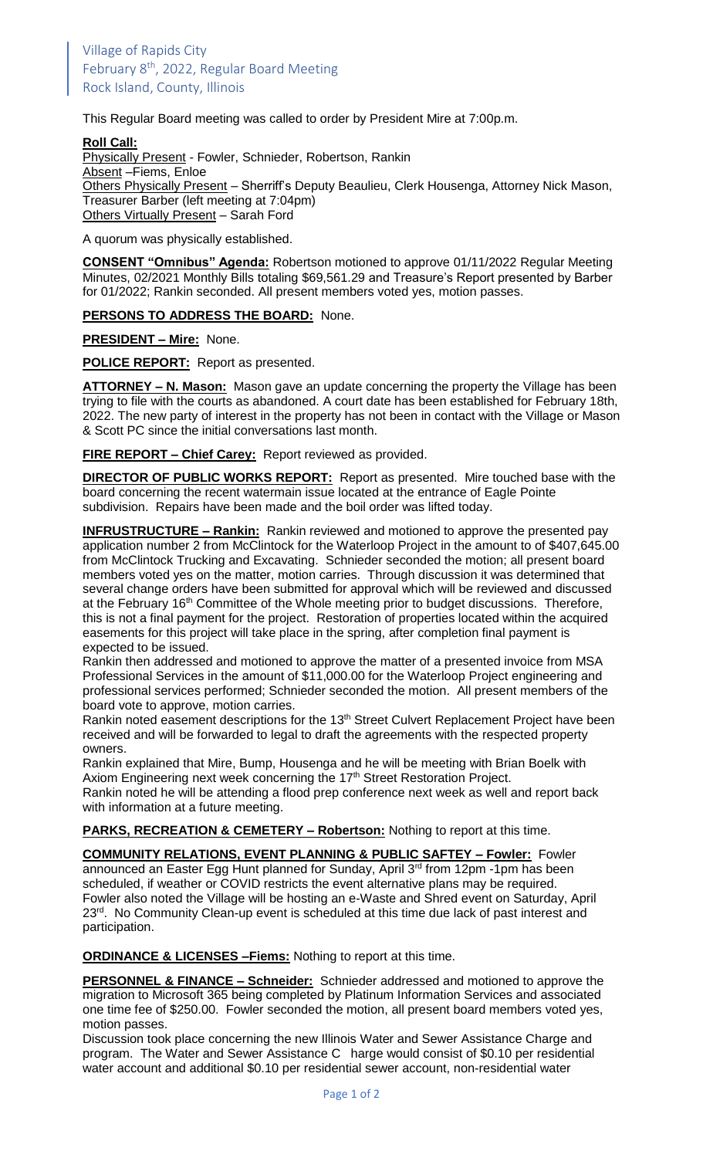This Regular Board meeting was called to order by President Mire at 7:00p.m.

## **Roll Call:**

Physically Present - Fowler, Schnieder, Robertson, Rankin Absent –Fiems, Enloe Others Physically Present - Sherriff's Deputy Beaulieu, Clerk Housenga, Attorney Nick Mason, Treasurer Barber (left meeting at 7:04pm) Others Virtually Present – Sarah Ford

A quorum was physically established.

**CONSENT "Omnibus" Agenda:** Robertson motioned to approve 01/11/2022 Regular Meeting Minutes, 02/2021 Monthly Bills totaling \$69,561.29 and Treasure's Report presented by Barber for 01/2022; Rankin seconded. All present members voted yes, motion passes.

**PERSONS TO ADDRESS THE BOARD:** None.

**PRESIDENT – Mire:** None.

**POLICE REPORT:** Report as presented.

**ATTORNEY – N. Mason:** Mason gave an update concerning the property the Village has been trying to file with the courts as abandoned. A court date has been established for February 18th, 2022. The new party of interest in the property has not been in contact with the Village or Mason & Scott PC since the initial conversations last month.

**FIRE REPORT – Chief Carey:** Report reviewed as provided.

**DIRECTOR OF PUBLIC WORKS REPORT:** Report as presented. Mire touched base with the board concerning the recent watermain issue located at the entrance of Eagle Pointe subdivision. Repairs have been made and the boil order was lifted today.

**INFRUSTRUCTURE – Rankin:** Rankin reviewed and motioned to approve the presented pay application number 2 from McClintock for the Waterloop Project in the amount to of \$407,645.00 from McClintock Trucking and Excavating. Schnieder seconded the motion; all present board members voted yes on the matter, motion carries. Through discussion it was determined that several change orders have been submitted for approval which will be reviewed and discussed at the February 16<sup>th</sup> Committee of the Whole meeting prior to budget discussions. Therefore, this is not a final payment for the project. Restoration of properties located within the acquired easements for this project will take place in the spring, after completion final payment is expected to be issued.

Rankin then addressed and motioned to approve the matter of a presented invoice from MSA Professional Services in the amount of \$11,000.00 for the Waterloop Project engineering and professional services performed; Schnieder seconded the motion. All present members of the board vote to approve, motion carries.

Rankin noted easement descriptions for the 13<sup>th</sup> Street Culvert Replacement Project have been received and will be forwarded to legal to draft the agreements with the respected property owners.

Rankin explained that Mire, Bump, Housenga and he will be meeting with Brian Boelk with Axiom Engineering next week concerning the 17<sup>th</sup> Street Restoration Project.

Rankin noted he will be attending a flood prep conference next week as well and report back with information at a future meeting.

**PARKS, RECREATION & CEMETERY – Robertson:** Nothing to report at this time.

**COMMUNITY RELATIONS, EVENT PLANNING & PUBLIC SAFTEY – Fowler:** Fowler announced an Easter Egg Hunt planned for Sunday, April 3<sup>rd</sup> from 12pm -1pm has been scheduled, if weather or COVID restricts the event alternative plans may be required. Fowler also noted the Village will be hosting an e-Waste and Shred event on Saturday, April 23<sup>rd</sup>. No Community Clean-up event is scheduled at this time due lack of past interest and participation.

**ORDINANCE & LICENSES –Fiems:** Nothing to report at this time.

**PERSONNEL & FINANCE – Schneider:** Schnieder addressed and motioned to approve the migration to Microsoft 365 being completed by Platinum Information Services and associated one time fee of \$250.00. Fowler seconded the motion, all present board members voted yes, motion passes.

Discussion took place concerning the new Illinois Water and Sewer Assistance Charge and program. The Water and Sewer Assistance C harge would consist of \$0.10 per residential water account and additional \$0.10 per residential sewer account, non-residential water